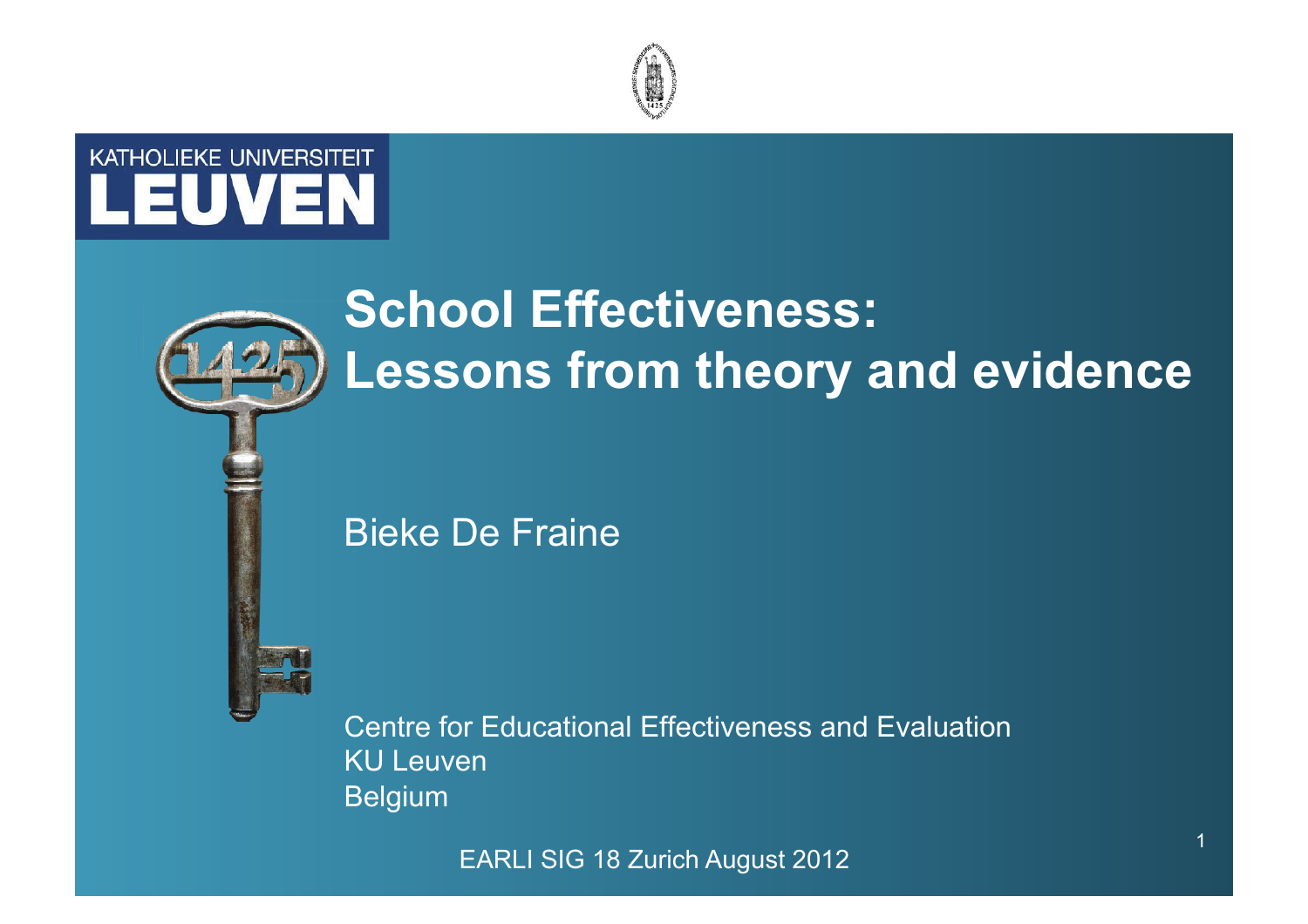

#### **KATHOLIEKE UNIVERSITEIT** LEUVEN

## **School Effectiveness: Lessons from theory and evidence**

#### Bieke De Fraine

Centre for Educational Effectiveness and Evaluation KU Leuven Belgium

EARLI SIG 18 Zurich August 2012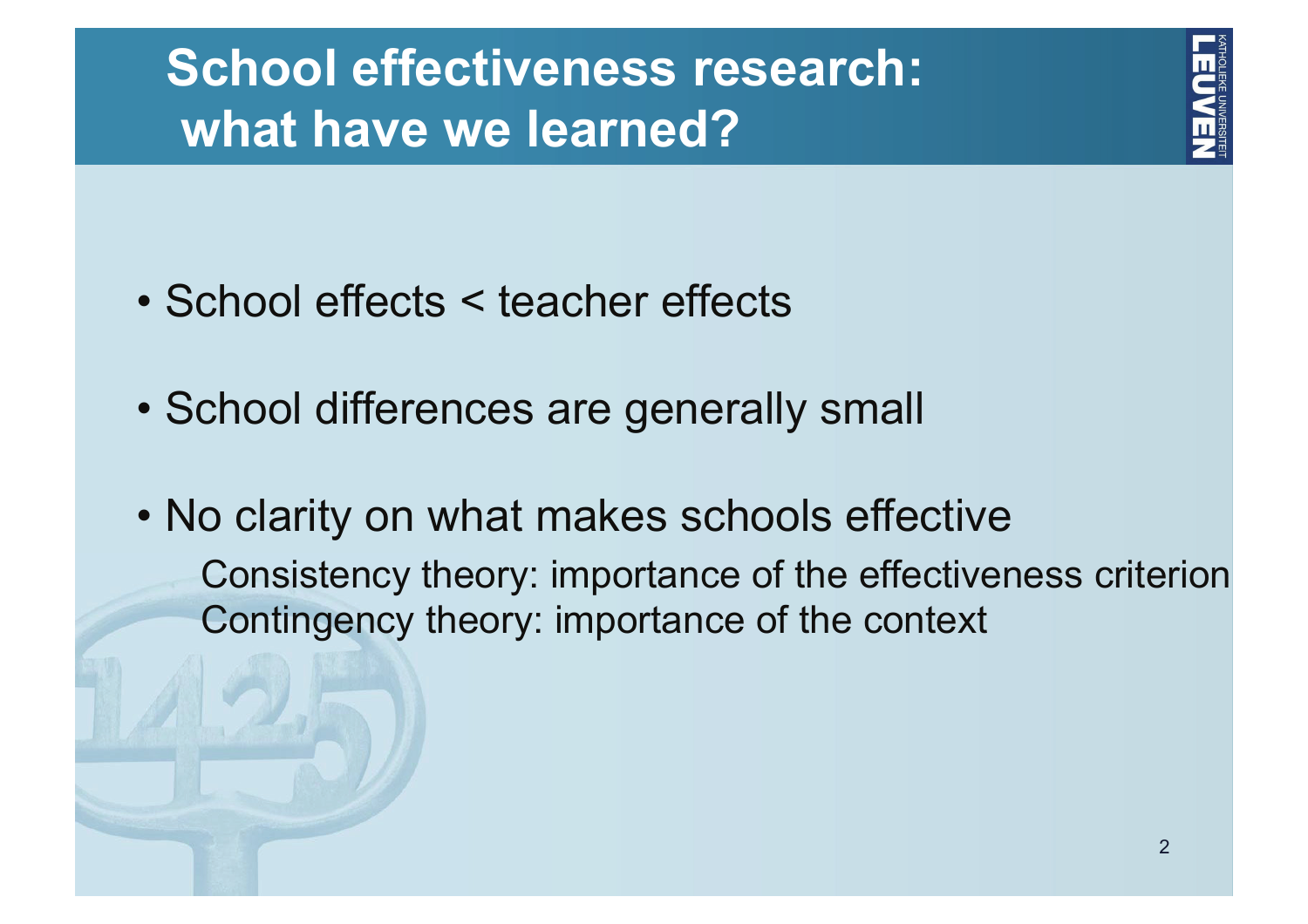#### **School effectiveness research: what have we learned?**

- School effects < teacher effects
- School differences are generally small
- No clarity on what makes schools effective Consistency theory: importance of the effectiveness criterion Contingency theory: importance of the context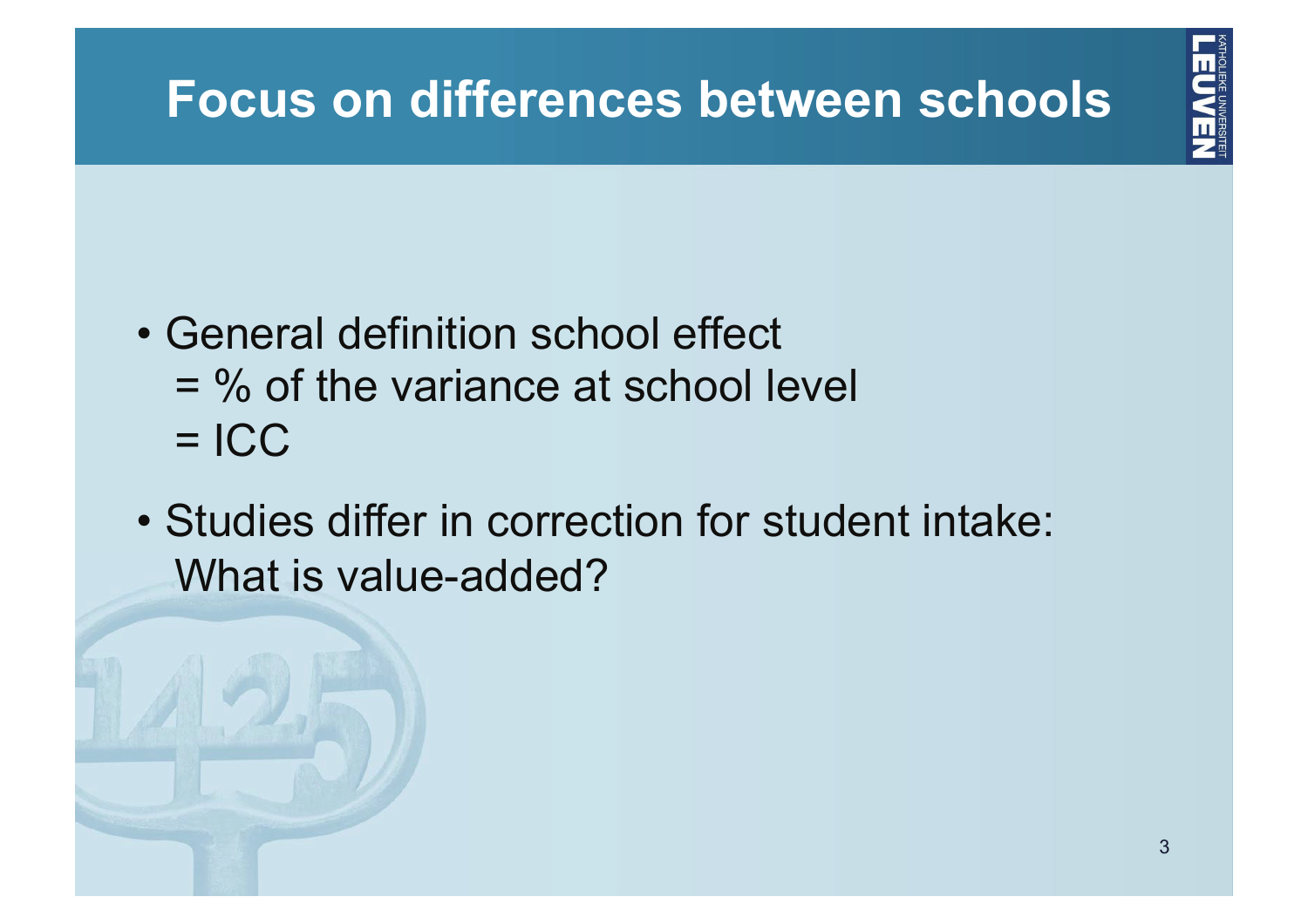### **Focus on differences between schools**

- General definition school effect = % of the variance at school level  $=$  ICC
- Studies differ in correction for student intake: What is value-added?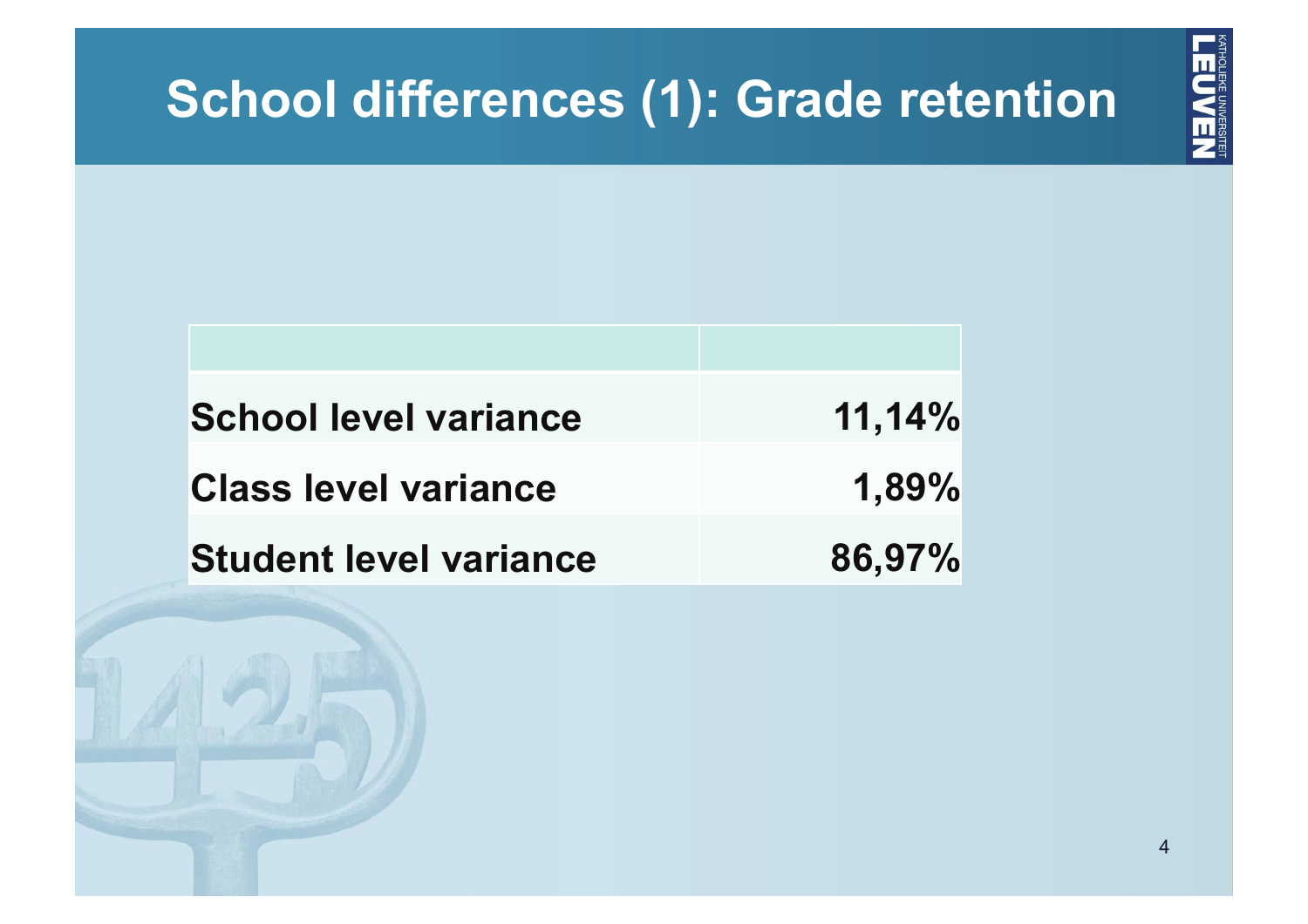# **School differences (1): Grade retention** 4 **School level variance 11,14% Class level variance 1,89% Student level variance 86,97%**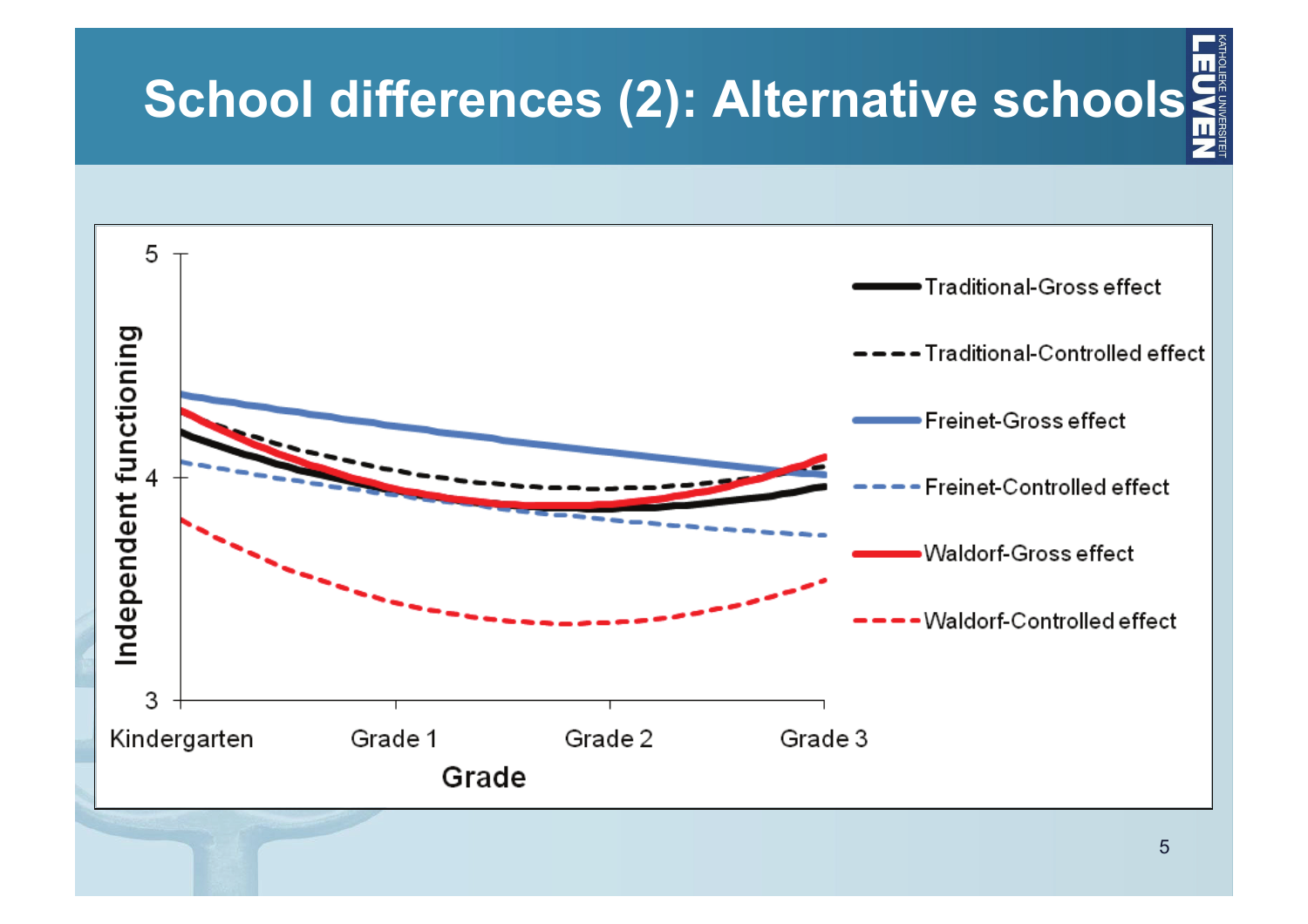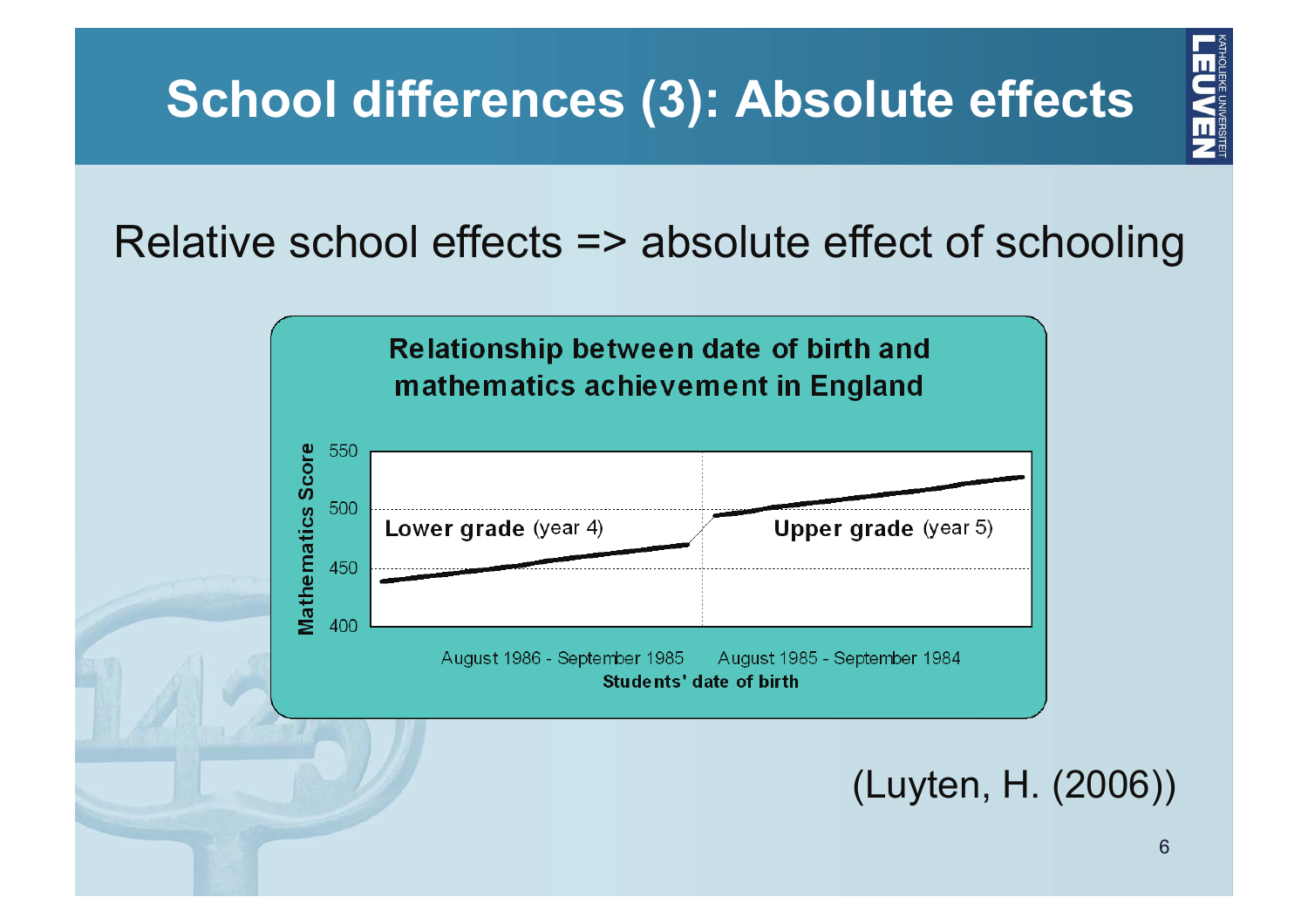#### Relative school effects => absolute effect of schooling



(Luyten, H. (2006))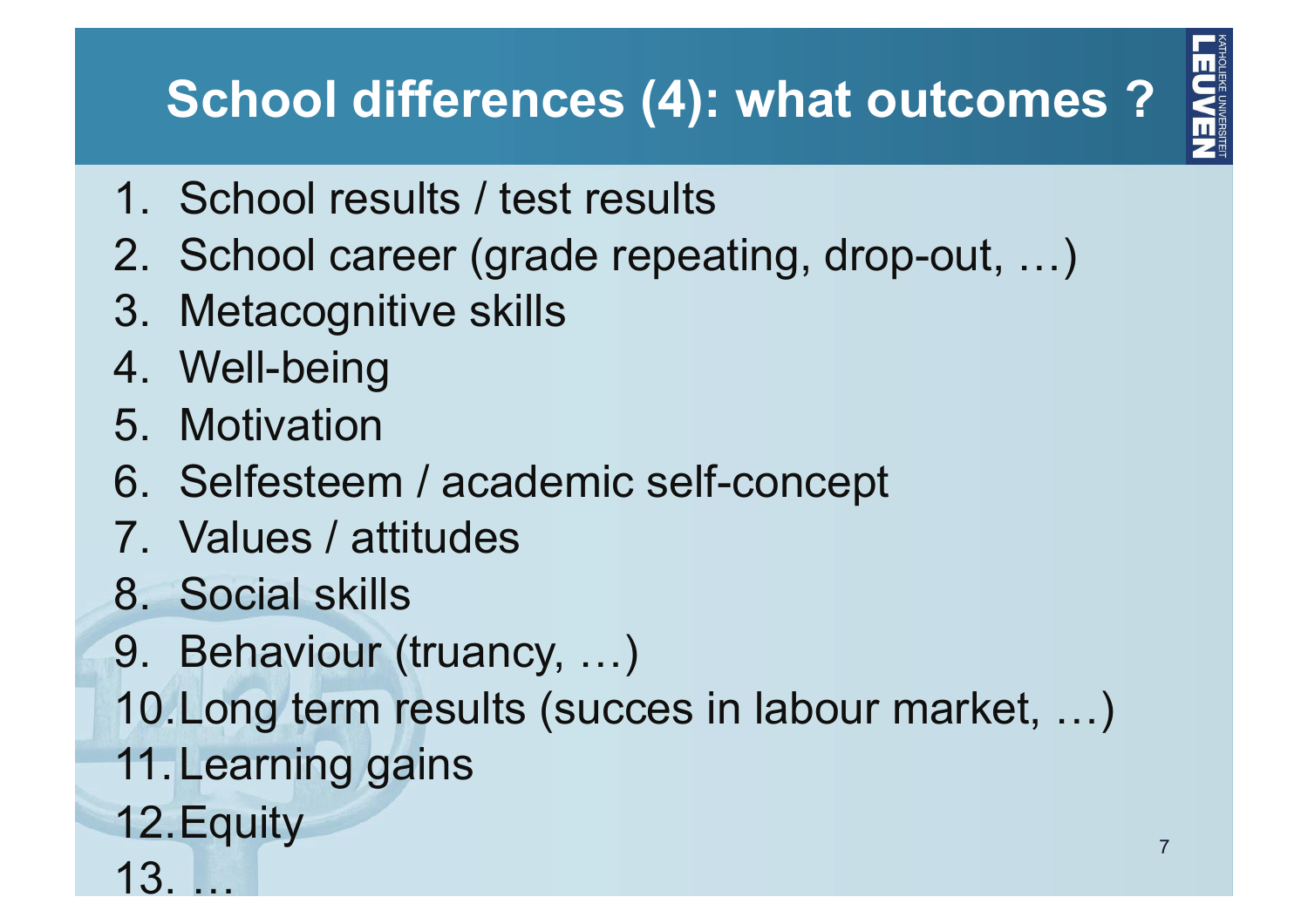# **School differences (4): what outcomes ?**

- 1. School results / test results
- 2. School career (grade repeating, drop-out, …)
- 3. Metacognitive skills
- 4. Well-being
- 5. Motivation
- 6. Selfesteem / academic self-concept
- 7. Values / attitudes
- 8. Social skills
- 9. Behaviour (truancy, …)
- 10.Long term results (succes in labour market, …)
- 11.Learning gains
- 12.Equity 13. … <sup>7</sup>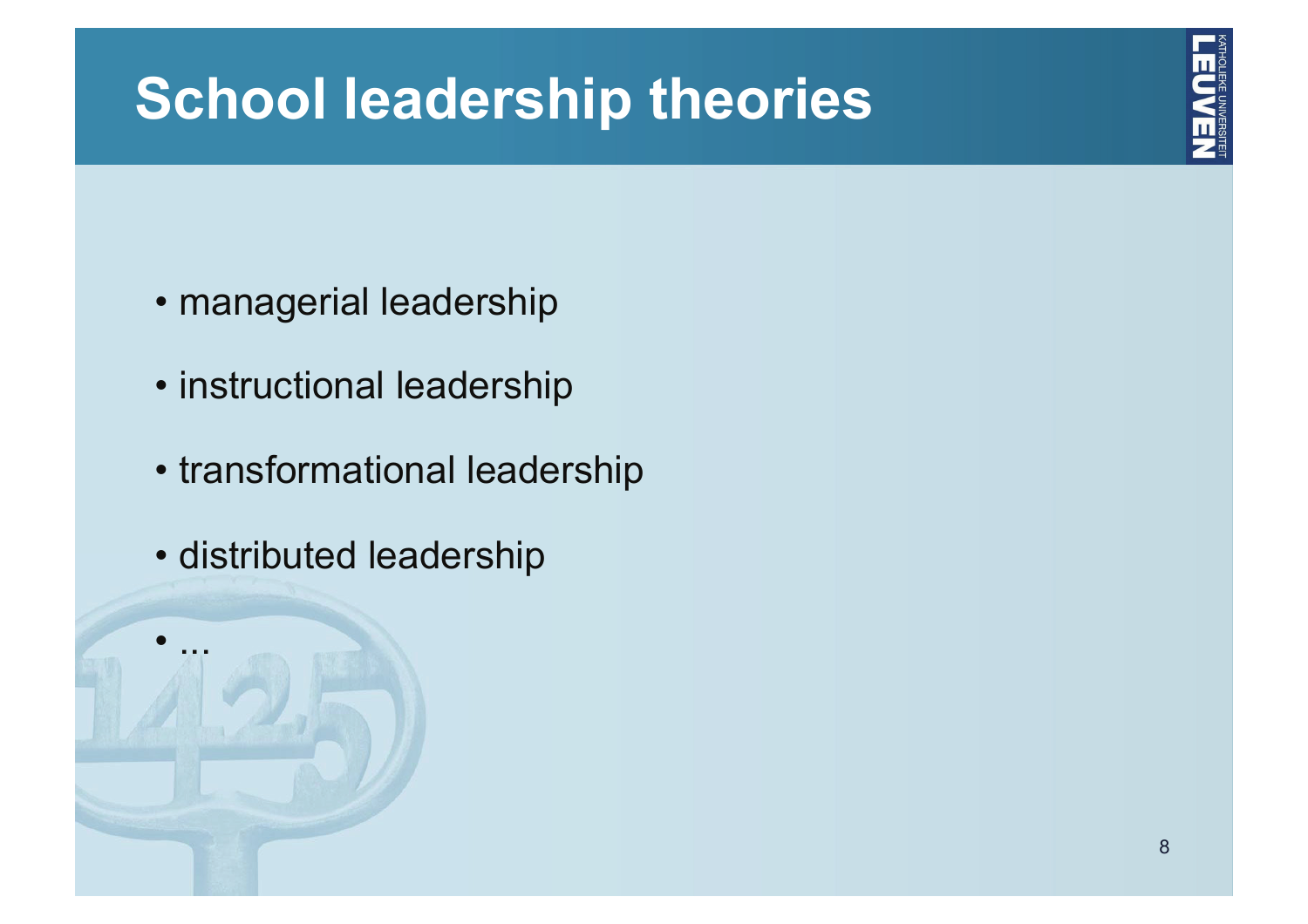# **School leadership theories**

- managerial leadership
- instructional leadership
- transformational leadership
- distributed leadership

 $\bullet$  ...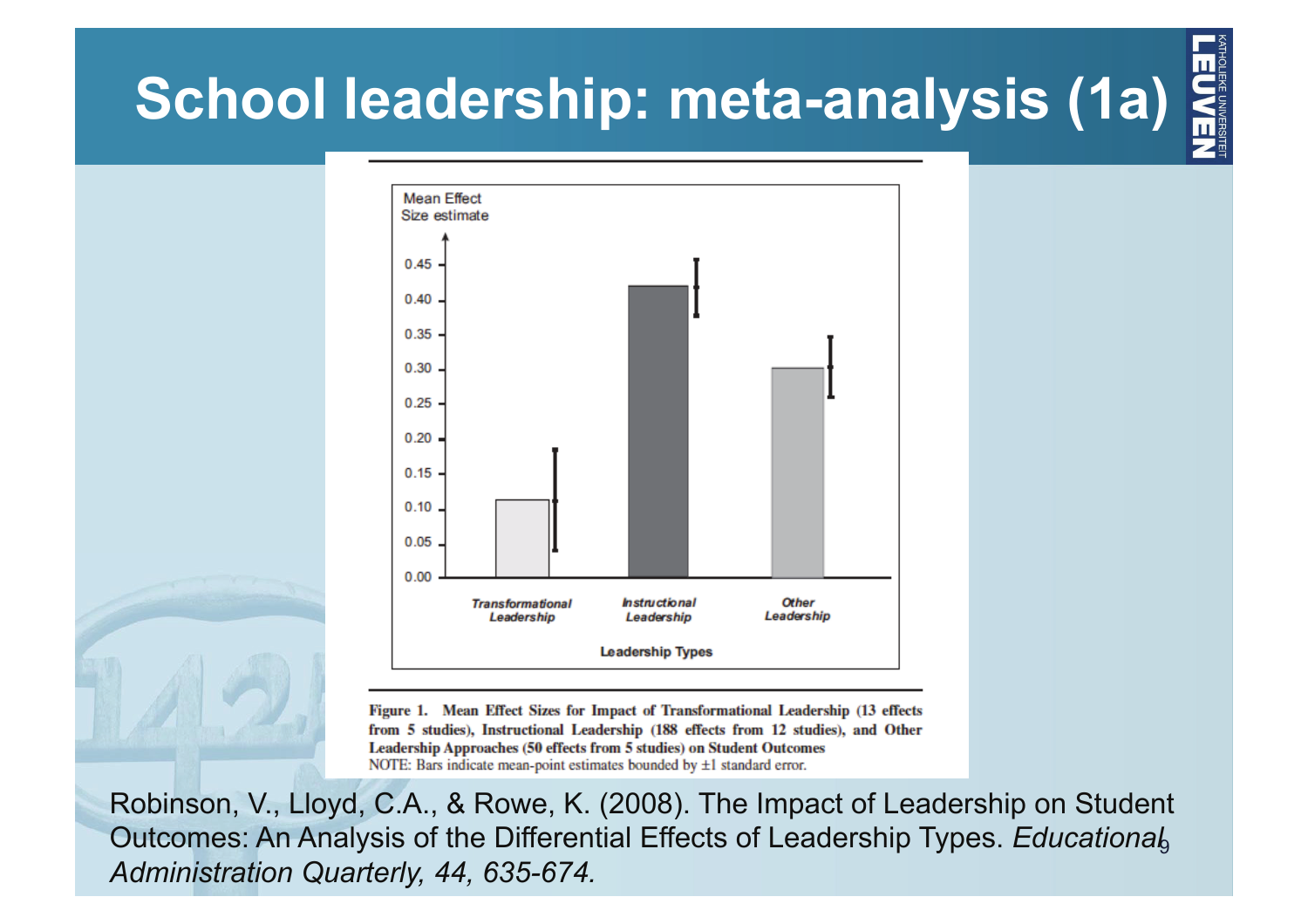#### $\sum_{i=1}^n\sum_{\text{N}}\sum_{\text{N}}$ **School leadership: meta-analysis (1a)**



Figure 1. Mean Effect Sizes for Impact of Transformational Leadership (13 effects from 5 studies), Instructional Leadership (188 effects from 12 studies), and Other Leadership Approaches (50 effects from 5 studies) on Student Outcomes NOTE: Bars indicate mean-point estimates bounded by  $\pm 1$  standard error.

Outcomes: An Analysis of the Differential Effects of Leadership Types. *Educational*, Robinson, V., Lloyd, C.A., & Rowe, K. (2008). The Impact of Leadership on Student *Administration Quarterly, 44, 635-674.*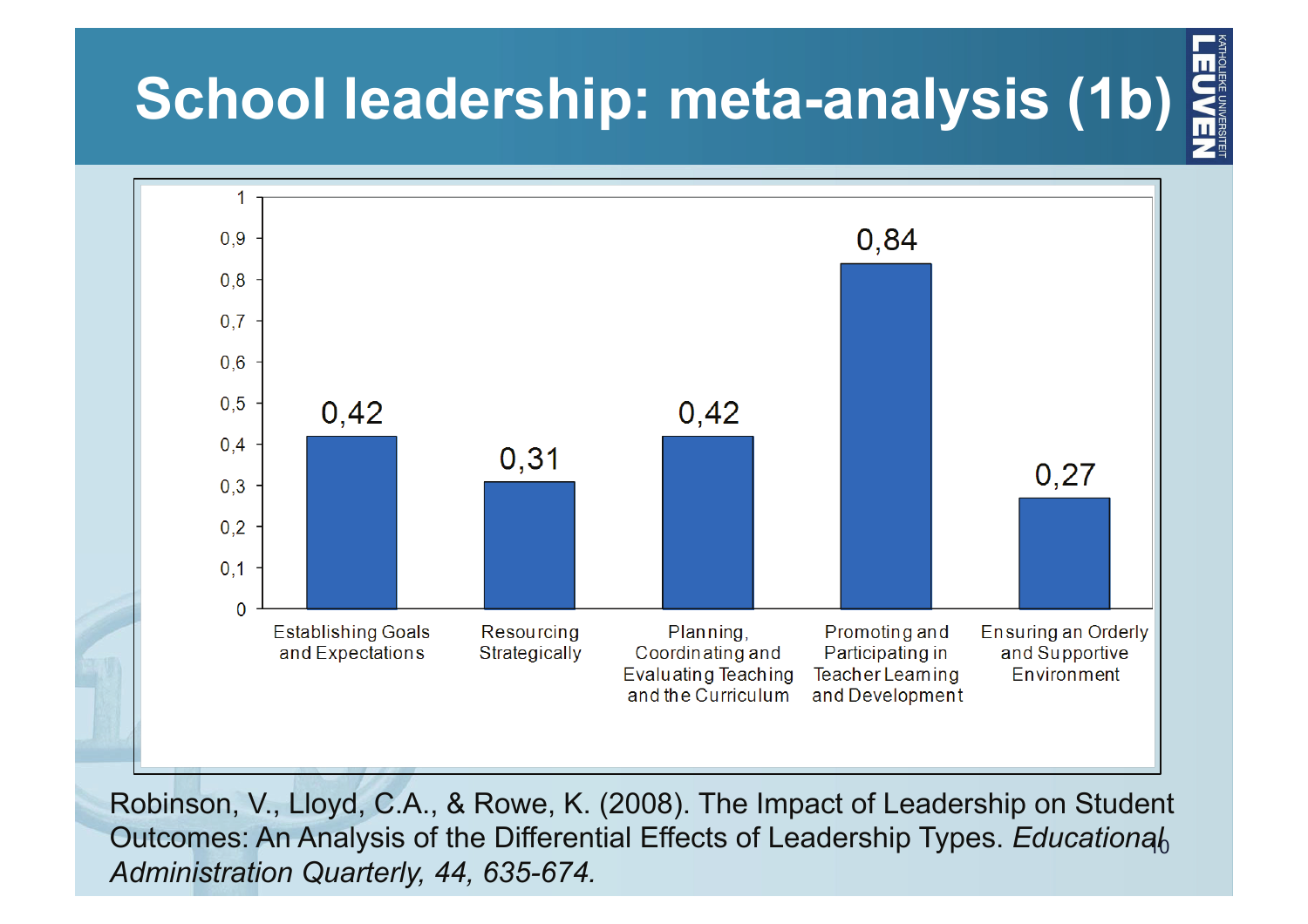

Outcomes: An Analysis of the Differential Effects of Leadership Types. *Educationa* $b$ Robinson, V., Lloyd, C.A., & Rowe, K. (2008). The Impact of Leadership on Student *Administration Quarterly, 44, 635-674.*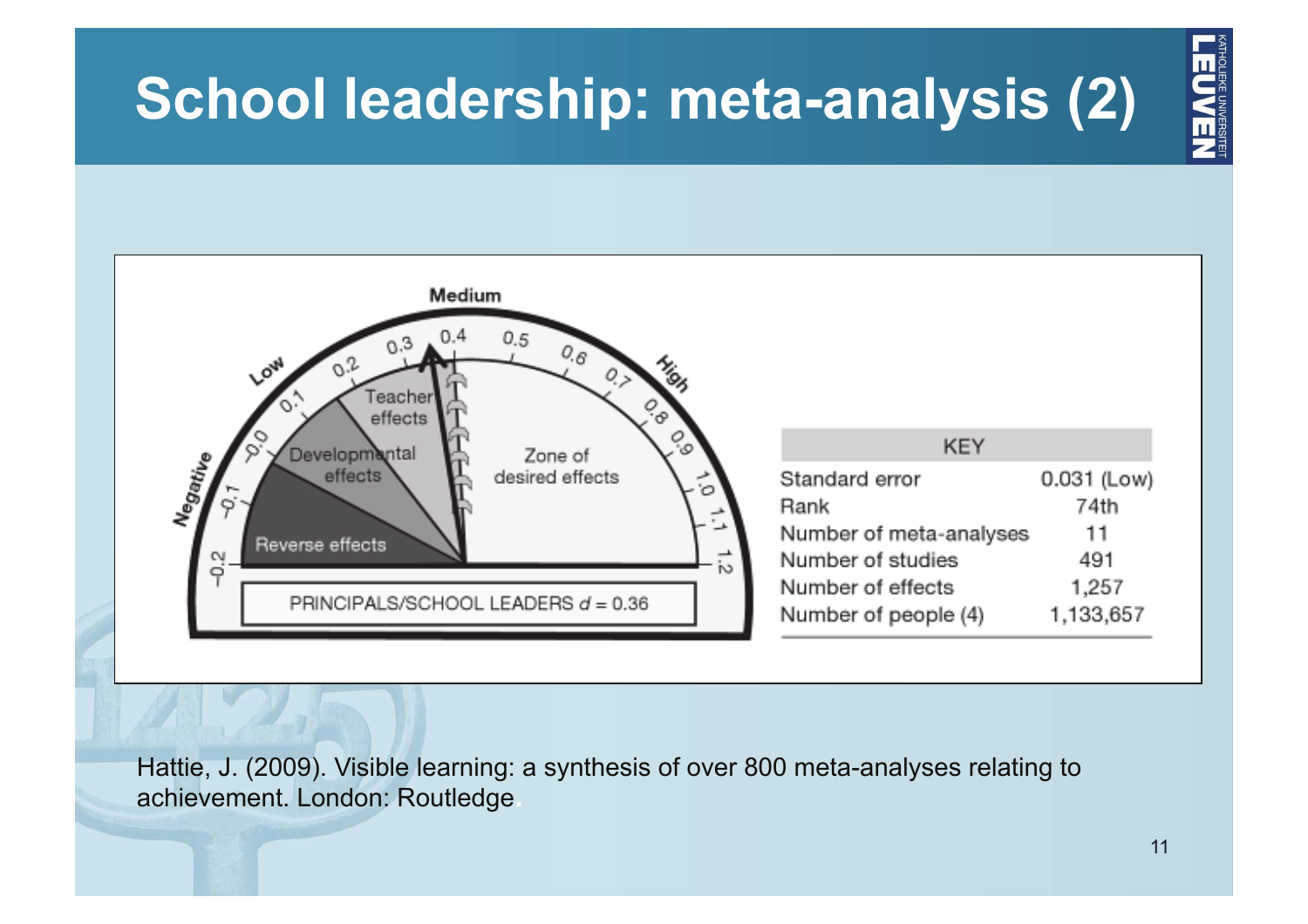

Hattie, J. (2009). Visible learning: a synthesis of over 800 meta-analyses relating to achievement. London: Routledge.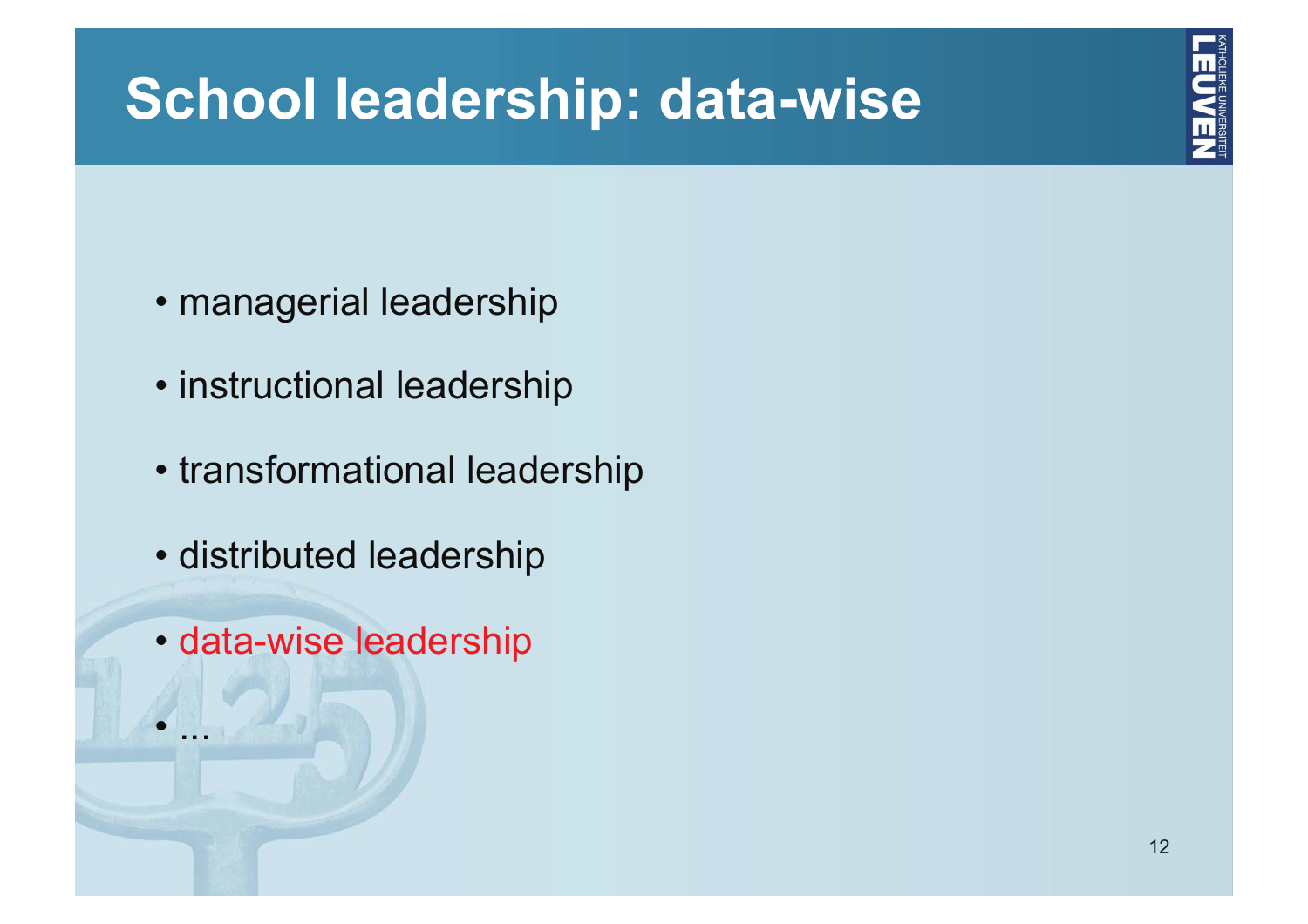# **School leadership: data-wise**

- managerial leadership
- instructional leadership
- transformational leadership
- distributed leadership
- data-wise leadership

I ...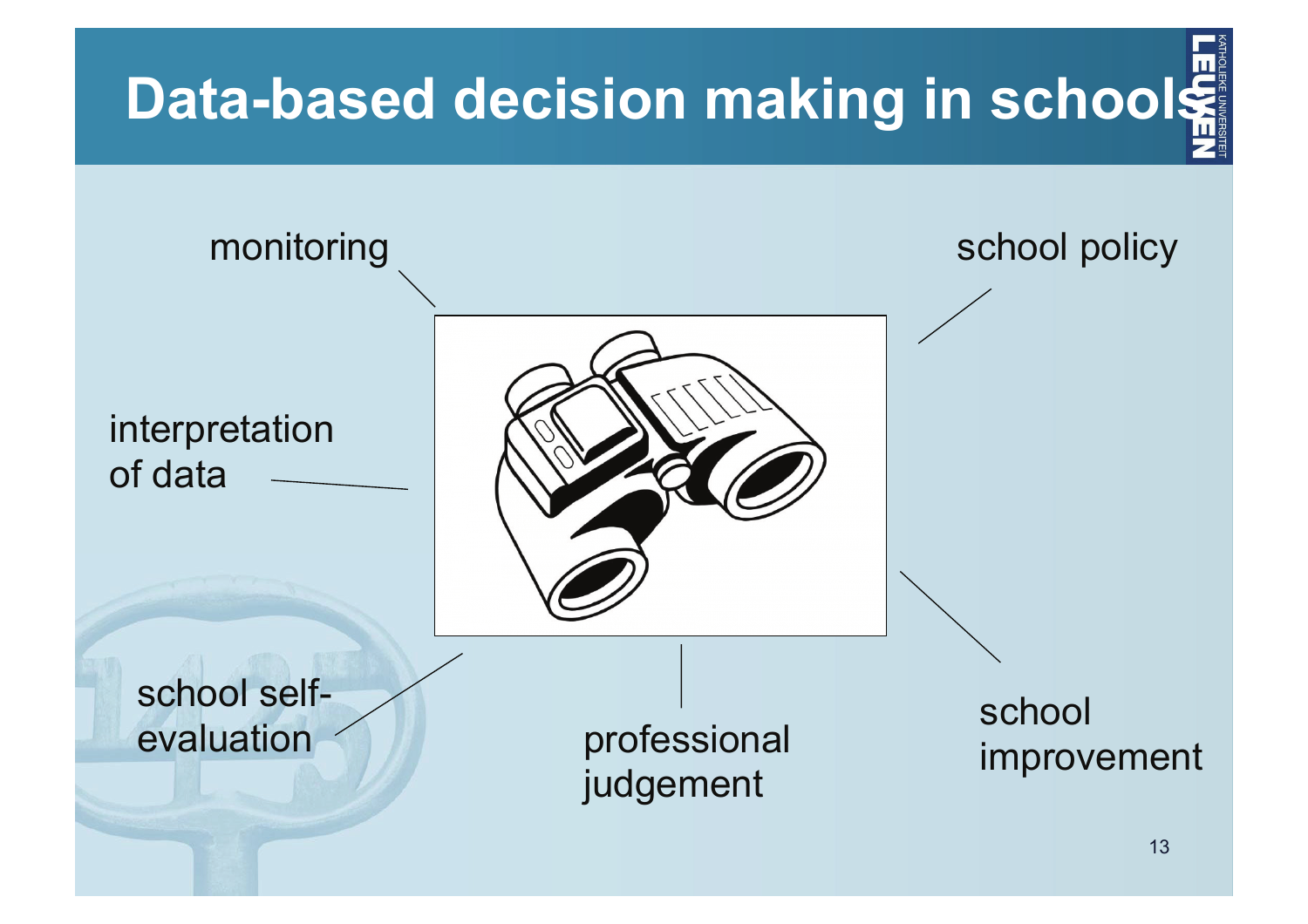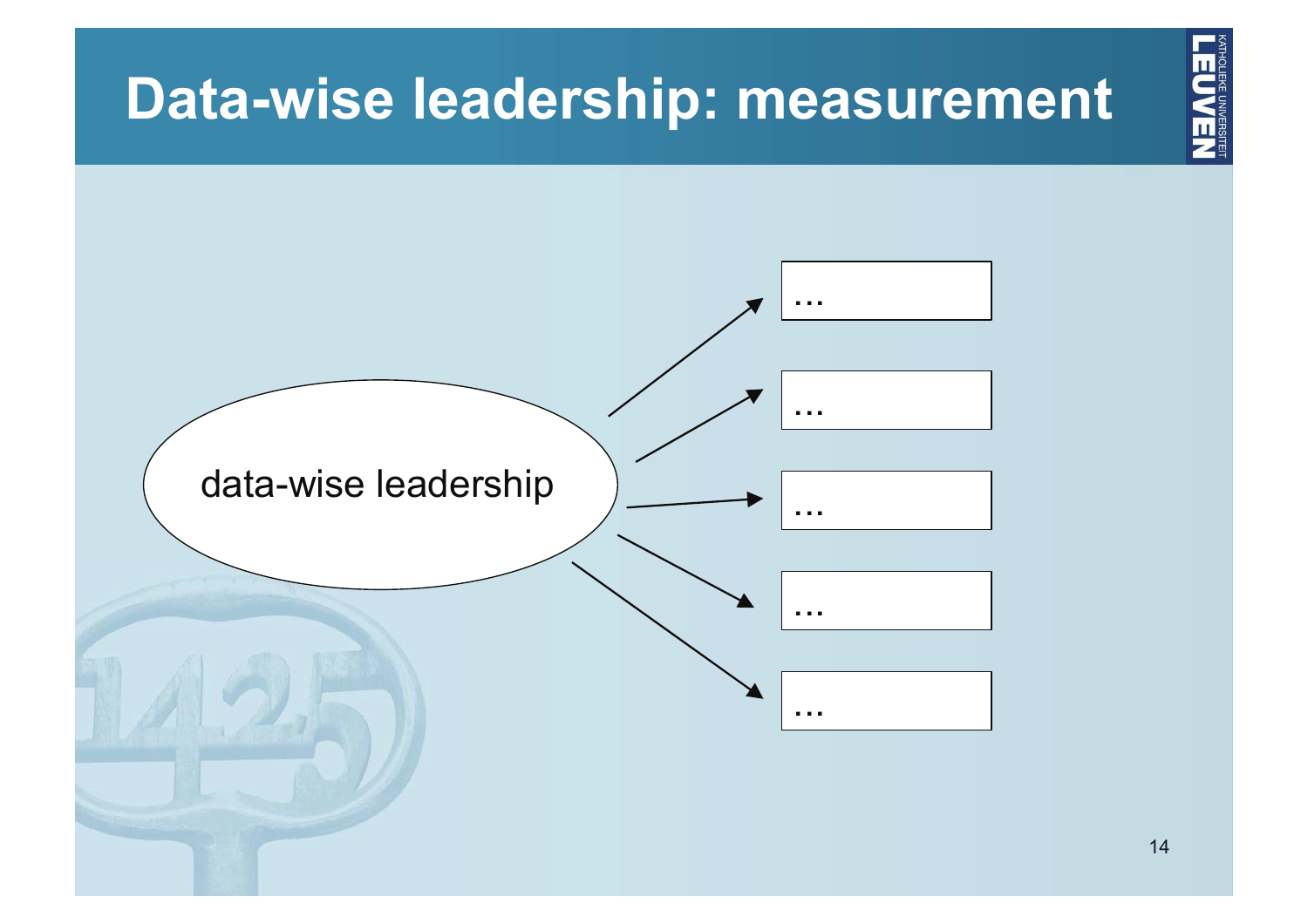